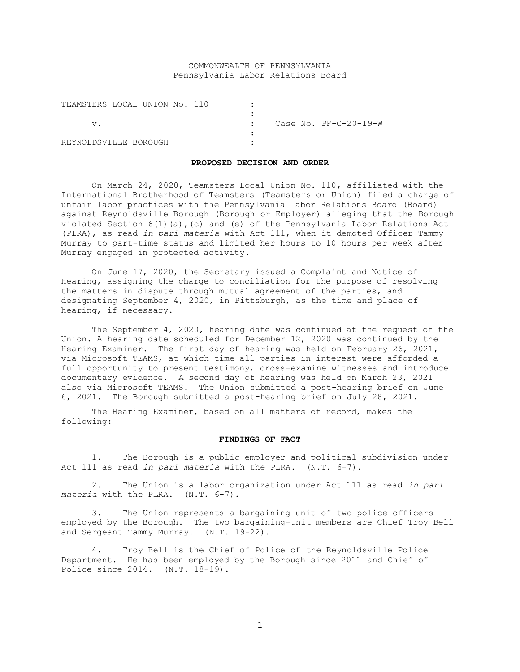# COMMONWEALTH OF PENNSYLVANIA Pennsylvania Labor Relations Board

| TEAMSTERS LOCAL UNION No. 110 |  |  |  |  |                         |  |
|-------------------------------|--|--|--|--|-------------------------|--|
|                               |  |  |  |  |                         |  |
|                               |  |  |  |  | Case No. $PF-C-20-19-W$ |  |
|                               |  |  |  |  |                         |  |
| REYNOLDSVILLE BOROUGH         |  |  |  |  |                         |  |

#### **PROPOSED DECISION AND ORDER**

On March 24, 2020, Teamsters Local Union No. 110, affiliated with the International Brotherhood of Teamsters (Teamsters or Union) filed a charge of unfair labor practices with the Pennsylvania Labor Relations Board (Board) against Reynoldsville Borough (Borough or Employer) alleging that the Borough violated Section  $6(1)(a)$ , (c) and (e) of the Pennsylvania Labor Relations Act (PLRA), as read *in pari materia* with Act 111, when it demoted Officer Tammy Murray to part-time status and limited her hours to 10 hours per week after Murray engaged in protected activity.

On June 17, 2020, the Secretary issued a Complaint and Notice of Hearing, assigning the charge to conciliation for the purpose of resolving the matters in dispute through mutual agreement of the parties, and designating September 4, 2020, in Pittsburgh, as the time and place of hearing, if necessary.

The September 4, 2020, hearing date was continued at the request of the Union. A hearing date scheduled for December 12, 2020 was continued by the Hearing Examiner. The first day of hearing was held on February 26, 2021, via Microsoft TEAMS, at which time all parties in interest were afforded a full opportunity to present testimony, cross-examine witnesses and introduce documentary evidence. A second day of hearing was held on March 23, 2021 also via Microsoft TEAMS. The Union submitted a post-hearing brief on June 6, 2021. The Borough submitted a post-hearing brief on July 28, 2021.

The Hearing Examiner, based on all matters of record, makes the following:

### **FINDINGS OF FACT**

1. The Borough is a public employer and political subdivision under Act 111 as read *in pari materia* with the PLRA. (N.T. 6-7).

2. The Union is a labor organization under Act 111 as read *in pari materia* with the PLRA. (N.T. 6-7).

3. The Union represents a bargaining unit of two police officers employed by the Borough. The two bargaining-unit members are Chief Troy Bell and Sergeant Tammy Murray. (N.T. 19-22).

4. Troy Bell is the Chief of Police of the Reynoldsville Police Department. He has been employed by the Borough since 2011 and Chief of Police since 2014. (N.T. 18-19).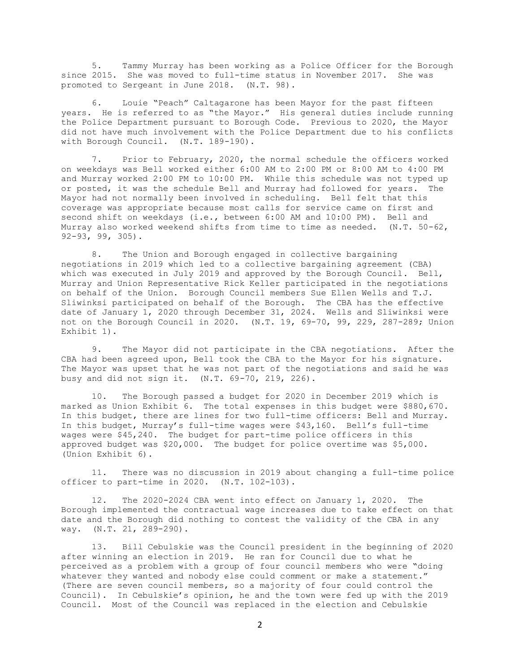5. Tammy Murray has been working as a Police Officer for the Borough since 2015. She was moved to full-time status in November 2017. She was promoted to Sergeant in June 2018. (N.T. 98).

6. Louie "Peach" Caltagarone has been Mayor for the past fifteen years. He is referred to as "the Mayor." His general duties include running the Police Department pursuant to Borough Code. Previous to 2020, the Mayor did not have much involvement with the Police Department due to his conflicts with Borough Council. (N.T. 189-190).

7. Prior to February, 2020, the normal schedule the officers worked on weekdays was Bell worked either 6:00 AM to 2:00 PM or 8:00 AM to 4:00 PM and Murray worked 2:00 PM to 10:00 PM. While this schedule was not typed up or posted, it was the schedule Bell and Murray had followed for years. The Mayor had not normally been involved in scheduling. Bell felt that this coverage was appropriate because most calls for service came on first and second shift on weekdays (i.e., between 6:00 AM and 10:00 PM). Bell and Murray also worked weekend shifts from time to time as needed. (N.T. 50-62, 92-93, 99, 305).

8. The Union and Borough engaged in collective bargaining negotiations in 2019 which led to a collective bargaining agreement (CBA) which was executed in July 2019 and approved by the Borough Council. Bell, Murray and Union Representative Rick Keller participated in the negotiations on behalf of the Union. Borough Council members Sue Ellen Wells and T.J. Sliwinksi participated on behalf of the Borough. The CBA has the effective date of January 1, 2020 through December 31, 2024. Wells and Sliwinksi were not on the Borough Council in 2020. (N.T. 19, 69-70, 99, 229, 287-289; Union Exhibit 1).

9. The Mayor did not participate in the CBA negotiations. After the CBA had been agreed upon, Bell took the CBA to the Mayor for his signature. The Mayor was upset that he was not part of the negotiations and said he was busy and did not sign it. (N.T. 69-70, 219, 226).

10. The Borough passed a budget for 2020 in December 2019 which is marked as Union Exhibit 6. The total expenses in this budget were \$880,670. In this budget, there are lines for two full-time officers: Bell and Murray. In this budget, Murray's full-time wages were \$43,160. Bell's full-time wages were \$45,240. The budget for part-time police officers in this approved budget was \$20,000. The budget for police overtime was \$5,000. (Union Exhibit 6).

11. There was no discussion in 2019 about changing a full-time police officer to part-time in 2020. (N.T. 102-103).

12. The 2020-2024 CBA went into effect on January 1, 2020. The Borough implemented the contractual wage increases due to take effect on that date and the Borough did nothing to contest the validity of the CBA in any way. (N.T. 21, 289-290).

13. Bill Cebulskie was the Council president in the beginning of 2020 after winning an election in 2019. He ran for Council due to what he perceived as a problem with a group of four council members who were "doing whatever they wanted and nobody else could comment or make a statement." (There are seven council members, so a majority of four could control the Council). In Cebulskie's opinion, he and the town were fed up with the 2019 Council. Most of the Council was replaced in the election and Cebulskie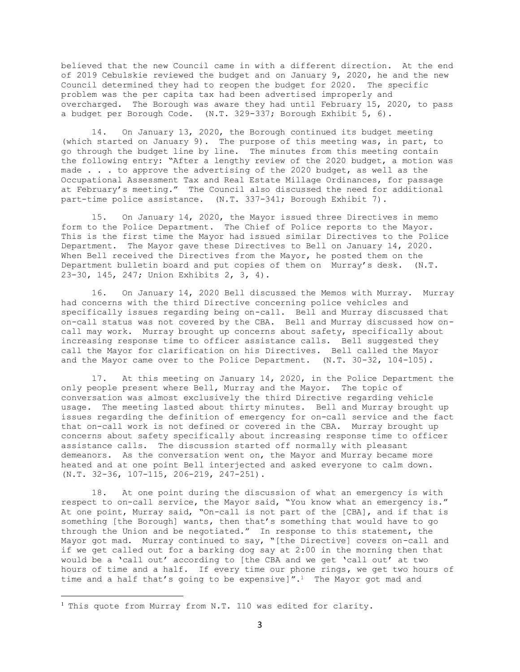believed that the new Council came in with a different direction. At the end of 2019 Cebulskie reviewed the budget and on January 9, 2020, he and the new Council determined they had to reopen the budget for 2020. The specific problem was the per capita tax had been advertised improperly and overcharged. The Borough was aware they had until February 15, 2020, to pass a budget per Borough Code. (N.T. 329-337; Borough Exhibit 5, 6).

14. On January 13, 2020, the Borough continued its budget meeting (which started on January 9). The purpose of this meeting was, in part, to go through the budget line by line. The minutes from this meeting contain the following entry: "After a lengthy review of the 2020 budget, a motion was made . . . to approve the advertising of the 2020 budget, as well as the Occupational Assessment Tax and Real Estate Millage Ordinances, for passage at February's meeting." The Council also discussed the need for additional part-time police assistance. (N.T. 337-341; Borough Exhibit 7).

15. On January 14, 2020, the Mayor issued three Directives in memo form to the Police Department. The Chief of Police reports to the Mayor. This is the first time the Mayor had issued similar Directives to the Police Department. The Mayor gave these Directives to Bell on January 14, 2020. When Bell received the Directives from the Mayor, he posted them on the Department bulletin board and put copies of them on Murray's desk. (N.T. 23-30, 145, 247; Union Exhibits 2, 3, 4).

16. On January 14, 2020 Bell discussed the Memos with Murray. Murray had concerns with the third Directive concerning police vehicles and specifically issues regarding being on-call. Bell and Murray discussed that on-call status was not covered by the CBA. Bell and Murray discussed how oncall may work. Murray brought up concerns about safety, specifically about increasing response time to officer assistance calls. Bell suggested they call the Mayor for clarification on his Directives. Bell called the Mayor and the Mayor came over to the Police Department. (N.T. 30-32, 104-105).

17. At this meeting on January 14, 2020, in the Police Department the only people present where Bell, Murray and the Mayor. The topic of conversation was almost exclusively the third Directive regarding vehicle usage. The meeting lasted about thirty minutes. Bell and Murray brought up issues regarding the definition of emergency for on-call service and the fact that on-call work is not defined or covered in the CBA. Murray brought up concerns about safety specifically about increasing response time to officer assistance calls. The discussion started off normally with pleasant demeanors. As the conversation went on, the Mayor and Murray became more heated and at one point Bell interjected and asked everyone to calm down. (N.T. 32-36, 107-115, 206-219, 247-251).

18. At one point during the discussion of what an emergency is with respect to on-call service, the Mayor said, "You know what an emergency is." At one point, Murray said, "On-call is not part of the [CBA], and if that is something [the Borough] wants, then that's something that would have to go through the Union and be negotiated." In response to this statement, the Mayor got mad. Murray continued to say, "[the Directive] covers on-call and if we get called out for a barking dog say at 2:00 in the morning then that would be a 'call out' according to [the CBA and we get 'call out' at two hours of time and a half. If every time our phone rings, we get two hours of time and a half that's going to be expensive]".<sup>1</sup> The Mayor got mad and

<sup>&</sup>lt;sup>1</sup> This quote from Murray from N.T. 110 was edited for clarity.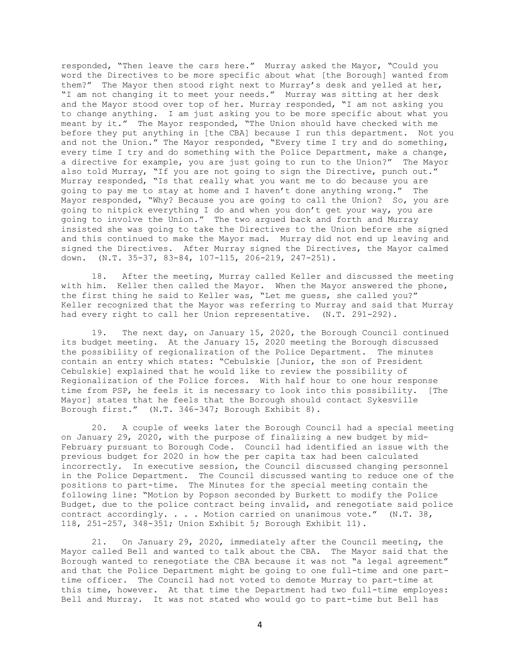responded, "Then leave the cars here." Murray asked the Mayor, "Could you word the Directives to be more specific about what [the Borough] wanted from them?" The Mayor then stood right next to Murray's desk and yelled at her, "I am not changing it to meet your needs." Murray was sitting at her desk and the Mayor stood over top of her. Murray responded, "I am not asking you to change anything. I am just asking you to be more specific about what you meant by it." The Mayor responded, "The Union should have checked with me before they put anything in [the CBA] because I run this department. Not you and not the Union." The Mayor responded, "Every time I try and do something, every time I try and do something with the Police Department, make a change, a directive for example, you are just going to run to the Union?" The Mayor also told Murray, "If you are not going to sign the Directive, punch out." Murray responded, "Is that really what you want me to do because you are going to pay me to stay at home and I haven't done anything wrong." The Mayor responded, "Why? Because you are going to call the Union? So, you are going to nitpick everything I do and when you don't get your way, you are going to involve the Union." The two argued back and forth and Murray insisted she was going to take the Directives to the Union before she signed and this continued to make the Mayor mad. Murray did not end up leaving and signed the Directives. After Murray signed the Directives, the Mayor calmed down. (N.T. 35-37, 83-84, 107-115, 206-219, 247-251).

18. After the meeting, Murray called Keller and discussed the meeting with him. Keller then called the Mayor. When the Mayor answered the phone, the first thing he said to Keller was, "Let me guess, she called you?" Keller recognized that the Mayor was referring to Murray and said that Murray had every right to call her Union representative. (N.T. 291-292).

19. The next day, on January 15, 2020, the Borough Council continued its budget meeting. At the January 15, 2020 meeting the Borough discussed the possibility of regionalization of the Police Department. The minutes contain an entry which states: "Cebulskie [Junior, the son of President Cebulskie] explained that he would like to review the possibility of Regionalization of the Police forces. With half hour to one hour response time from PSP, he feels it is necessary to look into this possibility. [The Mayor] states that he feels that the Borough should contact Sykesville Borough first." (N.T. 346-347; Borough Exhibit 8).

20. A couple of weeks later the Borough Council had a special meeting on January 29, 2020, with the purpose of finalizing a new budget by mid-February pursuant to Borough Code. Council had identified an issue with the previous budget for 2020 in how the per capita tax had been calculated incorrectly. In executive session, the Council discussed changing personnel in the Police Department. The Council discussed wanting to reduce one of the positions to part-time. The Minutes for the special meeting contain the following line: "Motion by Popson seconded by Burkett to modify the Police Budget, due to the police contract being invalid, and renegotiate said police contract accordingly. . . . Motion carried on unanimous vote." (N.T. 38, 118, 251-257, 348-351; Union Exhibit 5; Borough Exhibit 11).

21. On January 29, 2020, immediately after the Council meeting, the Mayor called Bell and wanted to talk about the CBA. The Mayor said that the Borough wanted to renegotiate the CBA because it was not "a legal agreement" and that the Police Department might be going to one full-time and one parttime officer. The Council had not voted to demote Murray to part-time at this time, however. At that time the Department had two full-time employes: Bell and Murray. It was not stated who would go to part-time but Bell has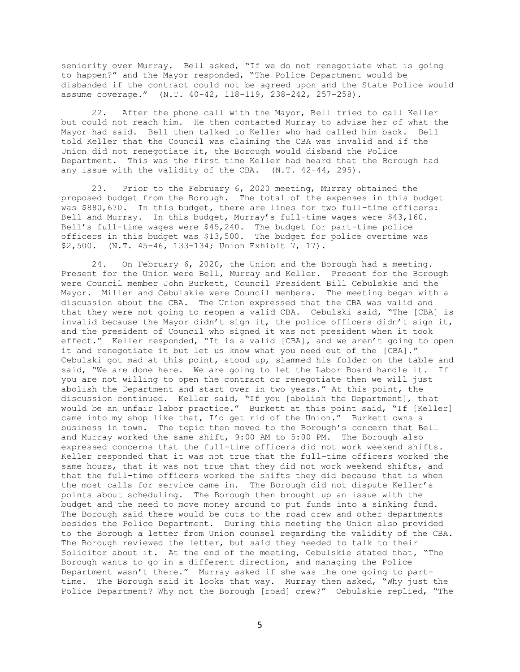seniority over Murray. Bell asked, "If we do not renegotiate what is going to happen?" and the Mayor responded, "The Police Department would be disbanded if the contract could not be agreed upon and the State Police would assume coverage." (N.T. 40-42, 118-119, 238-242, 257-258).

22. After the phone call with the Mayor, Bell tried to call Keller but could not reach him. He then contacted Murray to advise her of what the Mayor had said. Bell then talked to Keller who had called him back. Bell told Keller that the Council was claiming the CBA was invalid and if the Union did not renegotiate it, the Borough would disband the Police Department. This was the first time Keller had heard that the Borough had any issue with the validity of the CBA. (N.T. 42-44, 295).

23. Prior to the February 6, 2020 meeting, Murray obtained the proposed budget from the Borough. The total of the expenses in this budget was \$880,670. In this budget, there are lines for two full-time officers: Bell and Murray. In this budget, Murray's full-time wages were \$43,160. Bell's full-time wages were \$45,240. The budget for part-time police officers in this budget was \$13,500. The budget for police overtime was \$2,500. (N.T. 45-46, 133-134; Union Exhibit 7, 17).

24. On February 6, 2020, the Union and the Borough had a meeting. Present for the Union were Bell, Murray and Keller. Present for the Borough were Council member John Burkett, Council President Bill Cebulskie and the Mayor. Miller and Cebulskie were Council members. The meeting began with a discussion about the CBA. The Union expressed that the CBA was valid and that they were not going to reopen a valid CBA. Cebulski said, "The [CBA] is invalid because the Mayor didn't sign it, the police officers didn't sign it, and the president of Council who signed it was not president when it took effect." Keller responded, "It is a valid [CBA], and we aren't going to open it and renegotiate it but let us know what you need out of the [CBA]." Cebulski got mad at this point, stood up, slammed his folder on the table and said, "We are done here. We are going to let the Labor Board handle it. If you are not willing to open the contract or renegotiate then we will just abolish the Department and start over in two years." At this point, the discussion continued. Keller said, "If you [abolish the Department], that would be an unfair labor practice." Burkett at this point said, "If [Keller] came into my shop like that, I'd get rid of the Union." Burkett owns a business in town. The topic then moved to the Borough's concern that Bell and Murray worked the same shift, 9:00 AM to 5:00 PM. The Borough also expressed concerns that the full-time officers did not work weekend shifts. Keller responded that it was not true that the full-time officers worked the same hours, that it was not true that they did not work weekend shifts, and that the full-time officers worked the shifts they did because that is when the most calls for service came in. The Borough did not dispute Keller's points about scheduling. The Borough then brought up an issue with the budget and the need to move money around to put funds into a sinking fund. The Borough said there would be cuts to the road crew and other departments besides the Police Department. During this meeting the Union also provided to the Borough a letter from Union counsel regarding the validity of the CBA. The Borough reviewed the letter, but said they needed to talk to their Solicitor about it. At the end of the meeting, Cebulskie stated that, "The Borough wants to go in a different direction, and managing the Police Department wasn't there." Murray asked if she was the one going to parttime. The Borough said it looks that way. Murray then asked, "Why just the Police Department? Why not the Borough [road] crew?" Cebulskie replied, "The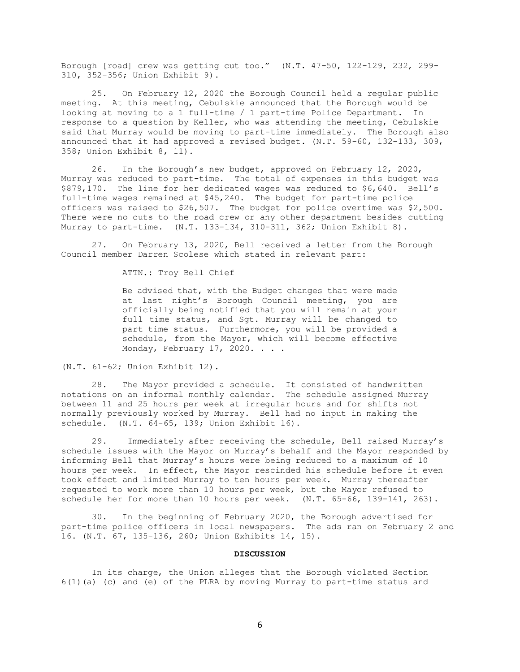Borough [road] crew was getting cut too." (N.T. 47-50, 122-129, 232, 299- 310, 352-356; Union Exhibit 9).

25. On February 12, 2020 the Borough Council held a regular public meeting. At this meeting, Cebulskie announced that the Borough would be looking at moving to a 1 full-time / 1 part-time Police Department. In response to a question by Keller, who was attending the meeting, Cebulskie said that Murray would be moving to part-time immediately. The Borough also announced that it had approved a revised budget. (N.T. 59-60, 132-133, 309, 358; Union Exhibit 8, 11).

26. In the Borough's new budget, approved on February 12, 2020, Murray was reduced to part-time. The total of expenses in this budget was \$879,170. The line for her dedicated wages was reduced to \$6,640. Bell's full-time wages remained at \$45,240. The budget for part-time police officers was raised to \$26,507. The budget for police overtime was \$2,500. There were no cuts to the road crew or any other department besides cutting Murray to part-time. (N.T. 133-134, 310-311, 362; Union Exhibit 8).

27. On February 13, 2020, Bell received a letter from the Borough Council member Darren Scolese which stated in relevant part:

ATTN.: Troy Bell Chief

Be advised that, with the Budget changes that were made at last night's Borough Council meeting, you are officially being notified that you will remain at your full time status, and Sgt. Murray will be changed to part time status. Furthermore, you will be provided a schedule, from the Mayor, which will become effective Monday, February 17, 2020. . . .

(N.T. 61-62; Union Exhibit 12).

28. The Mayor provided a schedule. It consisted of handwritten notations on an informal monthly calendar. The schedule assigned Murray between 11 and 25 hours per week at irregular hours and for shifts not normally previously worked by Murray. Bell had no input in making the schedule. (N.T. 64-65, 139; Union Exhibit 16).

29. Immediately after receiving the schedule, Bell raised Murray's schedule issues with the Mayor on Murray's behalf and the Mayor responded by informing Bell that Murray's hours were being reduced to a maximum of 10 hours per week. In effect, the Mayor rescinded his schedule before it even took effect and limited Murray to ten hours per week. Murray thereafter requested to work more than 10 hours per week, but the Mayor refused to schedule her for more than 10 hours per week. (N.T. 65-66, 139-141, 263).

30. In the beginning of February 2020, the Borough advertised for part-time police officers in local newspapers. The ads ran on February 2 and 16. (N.T. 67, 135-136, 260; Union Exhibits 14, 15).

### **DISCUSSION**

In its charge, the Union alleges that the Borough violated Section 6(1)(a) (c) and (e) of the PLRA by moving Murray to part-time status and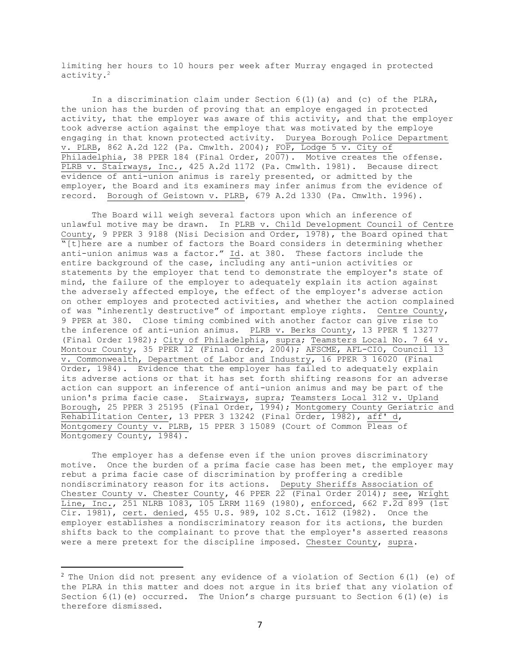limiting her hours to 10 hours per week after Murray engaged in protected activity.<sup>2</sup>

In a discrimination claim under Section 6(1)(a) and (c) of the PLRA, the union has the burden of proving that an employe engaged in protected activity, that the employer was aware of this activity, and that the employer took adverse action against the employe that was motivated by the employe engaging in that known protected activity. Duryea Borough Police Department v. PLRB, 862 A.2d 122 (Pa. Cmwlth. 2004); FOP, Lodge 5 v. City of Philadelphia, 38 PPER 184 (Final Order, 2007). Motive creates the offense. PLRB v. Stairways, Inc., 425 A.2d 1172 (Pa. Cmwlth. 1981). Because direct evidence of anti-union animus is rarely presented, or admitted by the employer, the Board and its examiners may infer animus from the evidence of record. Borough of Geistown v. PLRB, 679 A.2d 1330 (Pa. Cmwlth. 1996).

The Board will weigh several factors upon which an inference of unlawful motive may be drawn. In PLRB v. Child Development Council of Centre County, 9 PPER 3 9188 (Nisi Decision and Order, 1978), the Board opined that  $\sqrt[m]{[t]}$ here are a number of factors the Board considers in determining whether anti-union animus was a factor." Id. at 380. These factors include the entire background of the case, including any anti-union activities or statements by the employer that tend to demonstrate the employer's state of mind, the failure of the employer to adequately explain its action against the adversely affected employe, the effect of the employer's adverse action on other employes and protected activities, and whether the action complained of was "inherently destructive" of important employe rights. Centre County, 9 PPER at 380. Close timing combined with another factor can give rise to the inference of anti-union animus. PLRB v. Berks County, 13 PPER ¶ 13277 (Final Order 1982); City of Philadelphia, supra; Teamsters Local No. 7 64 v. Montour County, 35 PPER 12 (Final Order, 2004); AFSCME, AFL-CIO, Council 13 v. Commonwealth, Department of Labor and Industry, 16 PPER 3 16020 (Final Order, 1984). Evidence that the employer has failed to adequately explain its adverse actions or that it has set forth shifting reasons for an adverse action can support an inference of anti-union animus and may be part of the union's prima facie case. Stairways, supra; Teamsters Local 312 v. Upland Borough, 25 PPER 3 25195 (Final Order, 1994); Montgomery County Geriatric and Rehabilitation Center, 13 PPER 3 13242 (Final Order, 1982), aff' d, Montgomery County v. PLRB, 15 PPER 3 15089 (Court of Common Pleas of Montgomery County, 1984).

The employer has a defense even if the union proves discriminatory motive. Once the burden of a prima facie case has been met, the employer may rebut a prima facie case of discrimination by proffering a credible nondiscriminatory reason for its actions. Deputy Sheriffs Association of Chester County v. Chester County, 46 PPER 22 (Final Order 2014); see, Wright Line, Inc., 251 NLRB 1083, 105 LRRM 1169 (1980), enforced, 662 F.2d 899 (1st Cir. 1981), cert. denied, 455 U.S. 989, 102 S.Ct. 1612 (1982). Once the employer establishes a nondiscriminatory reason for its actions, the burden shifts back to the complainant to prove that the employer's asserted reasons were a mere pretext for the discipline imposed. Chester County, supra.

 $^2$  The Union did not present any evidence of a violation of Section 6(1) (e) of the PLRA in this matter and does not argue in its brief that any violation of Section  $6(1)(e)$  occurred. The Union's charge pursuant to Section  $6(1)(e)$  is therefore dismissed.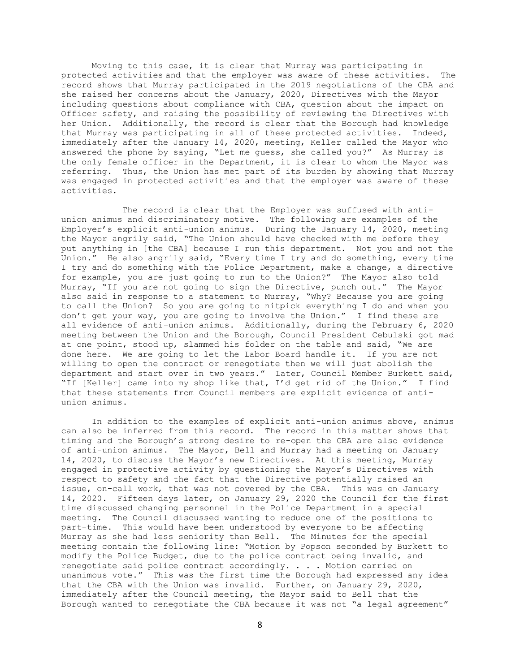Moving to this case, it is clear that Murray was participating in protected activities and that the employer was aware of these activities. The record shows that Murray participated in the 2019 negotiations of the CBA and she raised her concerns about the January, 2020, Directives with the Mayor including questions about compliance with CBA, question about the impact on Officer safety, and raising the possibility of reviewing the Directives with her Union. Additionally, the record is clear that the Borough had knowledge that Murray was participating in all of these protected activities. Indeed, immediately after the January 14, 2020, meeting, Keller called the Mayor who answered the phone by saying, "Let me guess, she called you?" As Murray is the only female officer in the Department, it is clear to whom the Mayor was referring. Thus, the Union has met part of its burden by showing that Murray was engaged in protected activities and that the employer was aware of these activities.

The record is clear that the Employer was suffused with antiunion animus and discriminatory motive. The following are examples of the Employer's explicit anti-union animus. During the January 14, 2020, meeting the Mayor angrily said, "The Union should have checked with me before they put anything in [the CBA] because I run this department. Not you and not the Union." He also angrily said, "Every time I try and do something, every time I try and do something with the Police Department, make a change, a directive for example, you are just going to run to the Union?" The Mayor also told Murray, "If you are not going to sign the Directive, punch out." The Mayor also said in response to a statement to Murray, "Why? Because you are going to call the Union? So you are going to nitpick everything I do and when you don't get your way, you are going to involve the Union." I find these are all evidence of anti-union animus. Additionally, during the February 6, 2020 meeting between the Union and the Borough, Council President Cebulski got mad at one point, stood up, slammed his folder on the table and said, "We are done here. We are going to let the Labor Board handle it. If you are not willing to open the contract or renegotiate then we will just abolish the department and start over in two years." Later, Council Member Burkett said, "If [Keller] came into my shop like that, I'd get rid of the Union." I find that these statements from Council members are explicit evidence of antiunion animus.

In addition to the examples of explicit anti-union animus above, animus can also be inferred from this record. The record in this matter shows that timing and the Borough's strong desire to re-open the CBA are also evidence of anti-union animus. The Mayor, Bell and Murray had a meeting on January 14, 2020, to discuss the Mayor's new Directives. At this meeting, Murray engaged in protective activity by questioning the Mayor's Directives with respect to safety and the fact that the Directive potentially raised an issue, on-call work, that was not covered by the CBA. This was on January 14, 2020. Fifteen days later, on January 29, 2020 the Council for the first time discussed changing personnel in the Police Department in a special meeting. The Council discussed wanting to reduce one of the positions to part-time. This would have been understood by everyone to be affecting Murray as she had less seniority than Bell. The Minutes for the special meeting contain the following line: "Motion by Popson seconded by Burkett to modify the Police Budget, due to the police contract being invalid, and renegotiate said police contract accordingly. . . . Motion carried on unanimous vote." This was the first time the Borough had expressed any idea that the CBA with the Union was invalid. Further, on January 29, 2020, immediately after the Council meeting, the Mayor said to Bell that the Borough wanted to renegotiate the CBA because it was not "a legal agreement"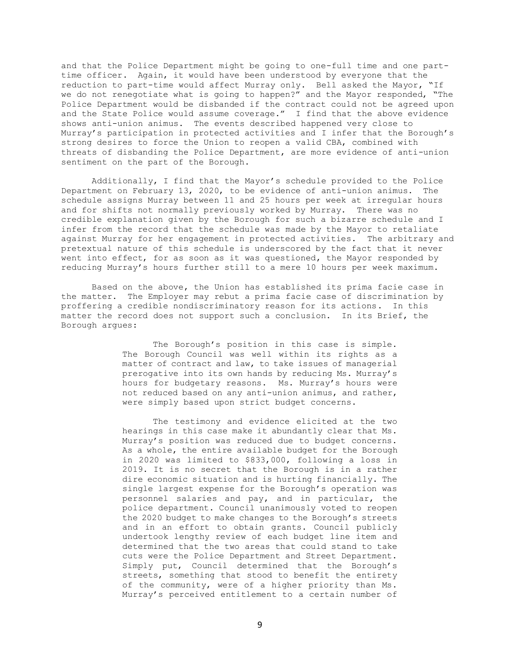and that the Police Department might be going to one-full time and one parttime officer. Again, it would have been understood by everyone that the reduction to part-time would affect Murray only. Bell asked the Mayor, "If we do not renegotiate what is going to happen?" and the Mayor responded, "The Police Department would be disbanded if the contract could not be agreed upon and the State Police would assume coverage." I find that the above evidence shows anti-union animus. The events described happened very close to Murray's participation in protected activities and I infer that the Borough's strong desires to force the Union to reopen a valid CBA, combined with threats of disbanding the Police Department, are more evidence of anti-union sentiment on the part of the Borough.

Additionally, I find that the Mayor's schedule provided to the Police Department on February 13, 2020, to be evidence of anti-union animus. The schedule assigns Murray between 11 and 25 hours per week at irregular hours and for shifts not normally previously worked by Murray. There was no credible explanation given by the Borough for such a bizarre schedule and I infer from the record that the schedule was made by the Mayor to retaliate against Murray for her engagement in protected activities. The arbitrary and pretextual nature of this schedule is underscored by the fact that it never went into effect, for as soon as it was questioned, the Mayor responded by reducing Murray's hours further still to a mere 10 hours per week maximum.

Based on the above, the Union has established its prima facie case in the matter. The Employer may rebut a prima facie case of discrimination by proffering a credible nondiscriminatory reason for its actions. In this matter the record does not support such a conclusion. In its Brief, the Borough argues:

> The Borough's position in this case is simple. The Borough Council was well within its rights as a matter of contract and law, to take issues of managerial prerogative into its own hands by reducing Ms. Murray's hours for budgetary reasons. Ms. Murray's hours were not reduced based on any anti-union animus, and rather, were simply based upon strict budget concerns.

> The testimony and evidence elicited at the two hearings in this case make it abundantly clear that Ms. Murray's position was reduced due to budget concerns. As a whole, the entire available budget for the Borough in 2020 was limited to \$833,000, following a loss in 2019. It is no secret that the Borough is in a rather dire economic situation and is hurting financially. The single largest expense for the Borough's operation was personnel salaries and pay, and in particular, the police department. Council unanimously voted to reopen the 2020 budget to make changes to the Borough's streets and in an effort to obtain grants. Council publicly undertook lengthy review of each budget line item and determined that the two areas that could stand to take cuts were the Police Department and Street Department. Simply put, Council determined that the Borough's streets, something that stood to benefit the entirety of the community, were of a higher priority than Ms. Murray's perceived entitlement to a certain number of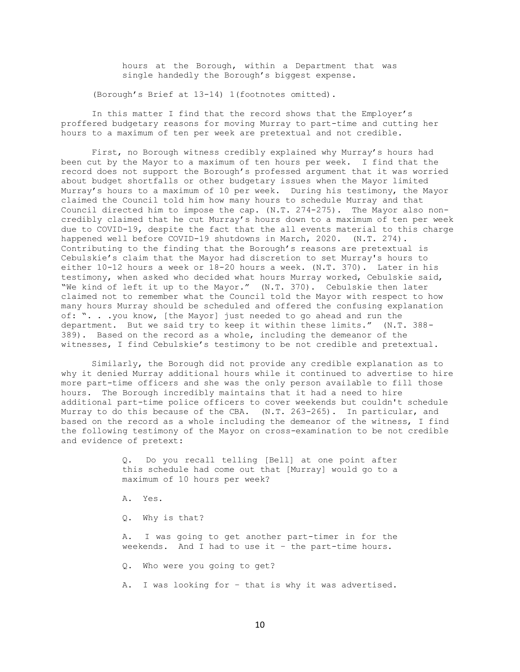hours at the Borough, within a Department that was single handedly the Borough's biggest expense.

(Borough's Brief at 13-14) 1(footnotes omitted).

In this matter I find that the record shows that the Employer's proffered budgetary reasons for moving Murray to part-time and cutting her hours to a maximum of ten per week are pretextual and not credible.

First, no Borough witness credibly explained why Murray's hours had been cut by the Mayor to a maximum of ten hours per week. I find that the record does not support the Borough's professed argument that it was worried about budget shortfalls or other budgetary issues when the Mayor limited Murray's hours to a maximum of 10 per week. During his testimony, the Mayor claimed the Council told him how many hours to schedule Murray and that Council directed him to impose the cap. (N.T. 274-275). The Mayor also noncredibly claimed that he cut Murray's hours down to a maximum of ten per week due to COVID-19, despite the fact that the all events material to this charge happened well before COVID-19 shutdowns in March, 2020. (N.T. 274). Contributing to the finding that the Borough's reasons are pretextual is Cebulskie's claim that the Mayor had discretion to set Murray's hours to either 10-12 hours a week or 18-20 hours a week. (N.T. 370). Later in his testimony, when asked who decided what hours Murray worked, Cebulskie said, "We kind of left it up to the Mayor." (N.T. 370). Cebulskie then later claimed not to remember what the Council told the Mayor with respect to how many hours Murray should be scheduled and offered the confusing explanation of: ". . .you know, [the Mayor] just needed to go ahead and run the department. But we said try to keep it within these limits." (N.T. 388- 389). Based on the record as a whole, including the demeanor of the witnesses, I find Cebulskie's testimony to be not credible and pretextual.

Similarly, the Borough did not provide any credible explanation as to why it denied Murray additional hours while it continued to advertise to hire more part-time officers and she was the only person available to fill those hours. The Borough incredibly maintains that it had a need to hire additional part-time police officers to cover weekends but couldn't schedule Murray to do this because of the CBA. (N.T. 263-265). In particular, and based on the record as a whole including the demeanor of the witness, I find the following testimony of the Mayor on cross-examination to be not credible and evidence of pretext:

> Q. Do you recall telling [Bell] at one point after this schedule had come out that [Murray] would go to a maximum of 10 hours per week?

A. Yes.

Q. Why is that?

A. I was going to get another part-timer in for the weekends. And I had to use it – the part-time hours.

Q. Who were you going to get?

A. I was looking for – that is why it was advertised.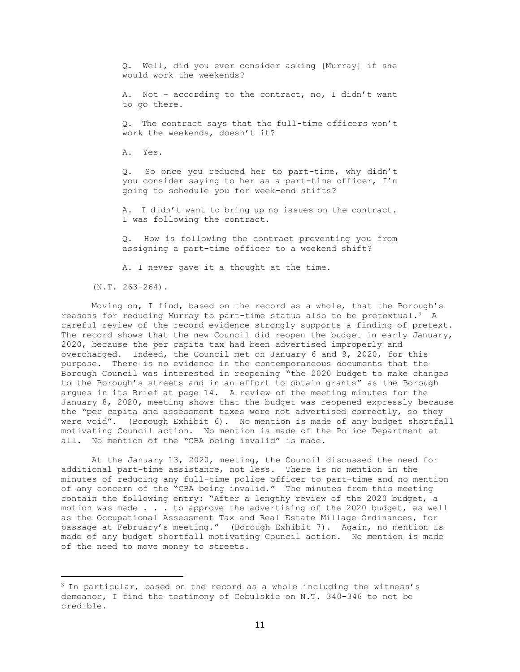Q. Well, did you ever consider asking [Murray] if she would work the weekends?

A. Not – according to the contract, no, I didn't want to go there.

Q. The contract says that the full-time officers won't work the weekends, doesn't it?

A. Yes.

Q. So once you reduced her to part-time, why didn't you consider saying to her as a part-time officer, I'm going to schedule you for week-end shifts?

A. I didn't want to bring up no issues on the contract. I was following the contract.

Q. How is following the contract preventing you from assigning a part-time officer to a weekend shift?

A. I never gave it a thought at the time.

(N.T. 263-264).

Moving on, I find, based on the record as a whole, that the Borough's reasons for reducing Murray to part-time status also to be pretextual.<sup>3</sup> A careful review of the record evidence strongly supports a finding of pretext. The record shows that the new Council did reopen the budget in early January, 2020, because the per capita tax had been advertised improperly and overcharged. Indeed, the Council met on January 6 and 9, 2020, for this purpose. There is no evidence in the contemporaneous documents that the Borough Council was interested in reopening "the 2020 budget to make changes to the Borough's streets and in an effort to obtain grants" as the Borough argues in its Brief at page 14. A review of the meeting minutes for the January 8, 2020, meeting shows that the budget was reopened expressly because the "per capita and assessment taxes were not advertised correctly, so they were void". (Borough Exhibit 6). No mention is made of any budget shortfall motivating Council action. No mention is made of the Police Department at all. No mention of the "CBA being invalid" is made.

At the January 13, 2020, meeting, the Council discussed the need for additional part-time assistance, not less. There is no mention in the minutes of reducing any full-time police officer to part-time and no mention of any concern of the "CBA being invalid." The minutes from this meeting contain the following entry: "After a lengthy review of the 2020 budget, a motion was made . . . to approve the advertising of the 2020 budget, as well as the Occupational Assessment Tax and Real Estate Millage Ordinances, for passage at February's meeting." (Borough Exhibit 7). Again, no mention is made of any budget shortfall motivating Council action. No mention is made of the need to move money to streets.

<sup>&</sup>lt;sup>3</sup> In particular, based on the record as a whole including the witness's demeanor, I find the testimony of Cebulskie on N.T. 340-346 to not be credible.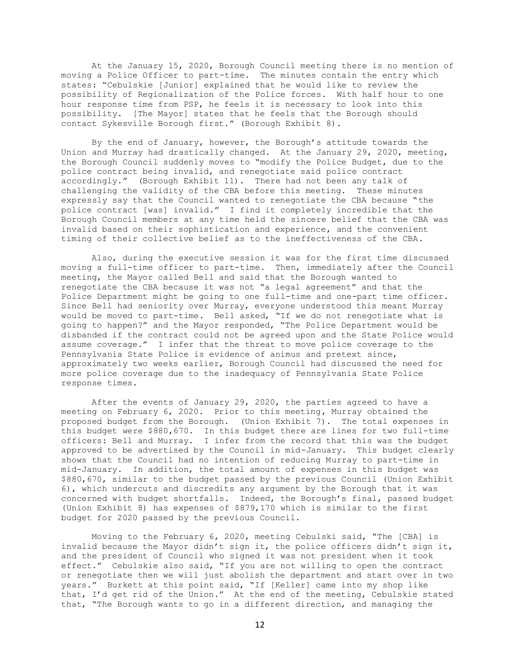At the January 15, 2020, Borough Council meeting there is no mention of moving a Police Officer to part-time. The minutes contain the entry which states: "Cebulskie [Junior] explained that he would like to review the possibility of Regionalization of the Police forces. With half hour to one hour response time from PSP, he feels it is necessary to look into this possibility. [The Mayor] states that he feels that the Borough should contact Sykesville Borough first." (Borough Exhibit 8).

By the end of January, however, the Borough's attitude towards the Union and Murray had drastically changed. At the January 29, 2020, meeting, the Borough Council suddenly moves to "modify the Police Budget, due to the police contract being invalid, and renegotiate said police contract accordingly." (Borough Exhibit 11). There had not been any talk of challenging the validity of the CBA before this meeting. These minutes expressly say that the Council wanted to renegotiate the CBA because "the police contract [was] invalid." I find it completely incredible that the Borough Council members at any time held the sincere belief that the CBA was invalid based on their sophistication and experience, and the convenient timing of their collective belief as to the ineffectiveness of the CBA.

Also, during the executive session it was for the first time discussed moving a full-time officer to part-time. Then, immediately after the Council meeting, the Mayor called Bell and said that the Borough wanted to renegotiate the CBA because it was not "a legal agreement" and that the Police Department might be going to one full-time and one-part time officer. Since Bell had seniority over Murray, everyone understood this meant Murray would be moved to part-time. Bell asked, "If we do not renegotiate what is going to happen?" and the Mayor responded, "The Police Department would be disbanded if the contract could not be agreed upon and the State Police would assume coverage." I infer that the threat to move police coverage to the Pennsylvania State Police is evidence of animus and pretext since, approximately two weeks earlier, Borough Council had discussed the need for more police coverage due to the inadequacy of Pennsylvania State Police response times.

After the events of January 29, 2020, the parties agreed to have a meeting on February 6, 2020. Prior to this meeting, Murray obtained the proposed budget from the Borough. (Union Exhibit 7). The total expenses in this budget were \$880,670. In this budget there are lines for two full-time officers: Bell and Murray. I infer from the record that this was the budget approved to be advertised by the Council in mid-January. This budget clearly shows that the Council had no intention of reducing Murray to part-time in mid-January. In addition, the total amount of expenses in this budget was \$880,670, similar to the budget passed by the previous Council (Union Exhibit 6), which undercuts and discredits any argument by the Borough that it was concerned with budget shortfalls. Indeed, the Borough's final, passed budget (Union Exhibit 8) has expenses of \$879,170 which is similar to the first budget for 2020 passed by the previous Council.

Moving to the February 6, 2020, meeting Cebulski said, "The [CBA] is invalid because the Mayor didn't sign it, the police officers didn't sign it, and the president of Council who signed it was not president when it took effect." Cebulskie also said, "If you are not willing to open the contract or renegotiate then we will just abolish the department and start over in two years." Burkett at this point said, "If [Keller] came into my shop like that, I'd get rid of the Union." At the end of the meeting, Cebulskie stated that, "The Borough wants to go in a different direction, and managing the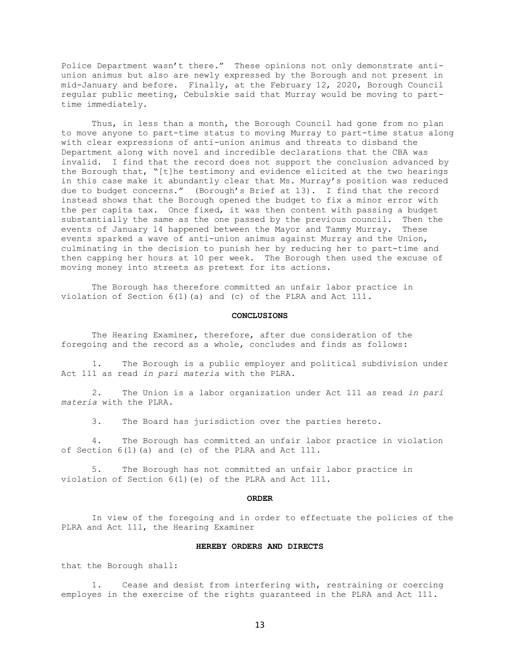Police Department wasn't there." These opinions not only demonstrate antiunion animus but also are newly expressed by the Borough and not present in mid-January and before. Finally, at the February 12, 2020, Borough Council regular public meeting, Cebulskie said that Murray would be moving to parttime immediately.

Thus, in less than a month, the Borough Council had gone from no plan to move anyone to part-time status to moving Murray to part-time status along with clear expressions of anti-union animus and threats to disband the Department along with novel and incredible declarations that the CBA was invalid. I find that the record does not support the conclusion advanced by the Borough that, "[t]he testimony and evidence elicited at the two hearings in this case make it abundantly clear that Ms. Murray's position was reduced due to budget concerns." (Borough's Brief at 13). I find that the record instead shows that the Borough opened the budget to fix a minor error with the per capita tax. Once fixed, it was then content with passing a budget substantially the same as the one passed by the previous council. Then the events of January 14 happened between the Mayor and Tammy Murray. These events sparked a wave of anti-union animus against Murray and the Union, culminating in the decision to punish her by reducing her to part-time and then capping her hours at 10 per week. The Borough then used the excuse of moving money into streets as pretext for its actions.

The Borough has therefore committed an unfair labor practice in violation of Section 6(1)(a) and (c) of the PLRA and Act 111.

#### **CONCLUSIONS**

The Hearing Examiner, therefore, after due consideration of the foregoing and the record as a whole, concludes and finds as follows:

 1. The Borough is a public employer and political subdivision under Act 111 as read *in pari materia* with the PLRA.

 2. The Union is a labor organization under Act 111 as read *in pari materia* with the PLRA.

3. The Board has jurisdiction over the parties hereto.

4. The Borough has committed an unfair labor practice in violation of Section 6(1)(a) and (c) of the PLRA and Act 111.

5. The Borough has not committed an unfair labor practice in violation of Section 6(1)(e) of the PLRA and Act 111.

#### **ORDER**

In view of the foregoing and in order to effectuate the policies of the PLRA and Act 111, the Hearing Examiner

### **HEREBY ORDERS AND DIRECTS**

that the Borough shall:

1. Cease and desist from interfering with, restraining or coercing employes in the exercise of the rights guaranteed in the PLRA and Act 111.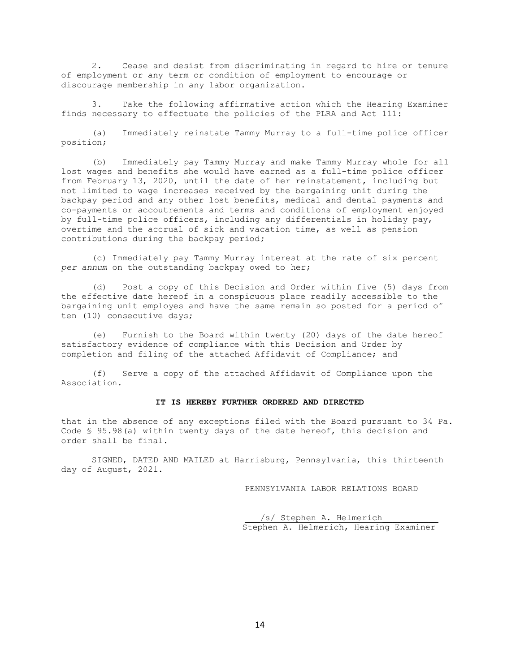2. Cease and desist from discriminating in regard to hire or tenure of employment or any term or condition of employment to encourage or discourage membership in any labor organization.

3. Take the following affirmative action which the Hearing Examiner finds necessary to effectuate the policies of the PLRA and Act 111:

(a) Immediately reinstate Tammy Murray to a full-time police officer position;

(b) Immediately pay Tammy Murray and make Tammy Murray whole for all lost wages and benefits she would have earned as a full-time police officer from February 13, 2020, until the date of her reinstatement, including but not limited to wage increases received by the bargaining unit during the backpay period and any other lost benefits, medical and dental payments and co-payments or accoutrements and terms and conditions of employment enjoyed by full-time police officers, including any differentials in holiday pay, overtime and the accrual of sick and vacation time, as well as pension contributions during the backpay period;

(c) Immediately pay Tammy Murray interest at the rate of six percent *per annum* on the outstanding backpay owed to her;

(d) Post a copy of this Decision and Order within five (5) days from the effective date hereof in a conspicuous place readily accessible to the bargaining unit employes and have the same remain so posted for a period of ten (10) consecutive days;

(e) Furnish to the Board within twenty (20) days of the date hereof satisfactory evidence of compliance with this Decision and Order by completion and filing of the attached Affidavit of Compliance; and

(f) Serve a copy of the attached Affidavit of Compliance upon the Association.

### **IT IS HEREBY FURTHER ORDERED AND DIRECTED**

that in the absence of any exceptions filed with the Board pursuant to 34 Pa. Code § 95.98(a) within twenty days of the date hereof, this decision and order shall be final.

SIGNED, DATED AND MAILED at Harrisburg, Pennsylvania, this thirteenth day of August, 2021.

PENNSYLVANIA LABOR RELATIONS BOARD

/s/ Stephen A. Helmerich Stephen A. Helmerich, Hearing Examiner